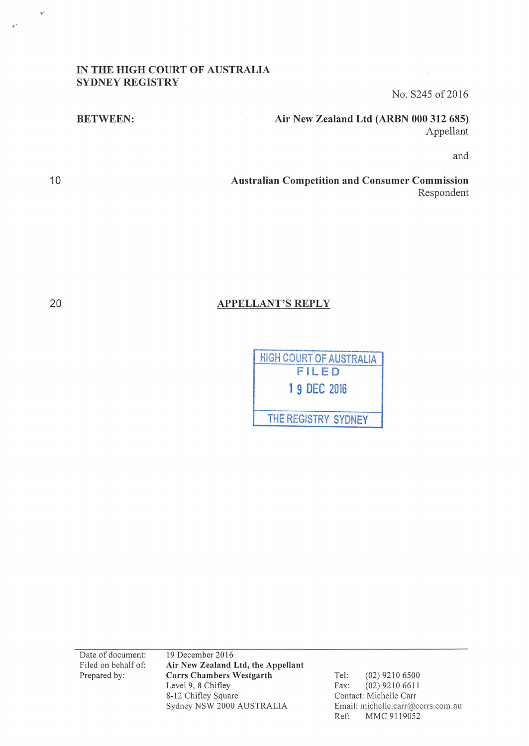## IN THE HIGH COURT OF AUSTRALIA SYDNEY REGISTRY

No. S245 of 2016

BETWEEN:

Air New Zealand Ltd (ARBN 000 312 685) Appellant

and

Australian Competition and Consumer Commission Respondent

## APPELLANT'S REPLY



Date of document: Filed on behalf of: Prepared by:

19 December 2016 Air New Zealand Ltd, the Appellant Corrs Chambers Westgarth Level 9, 8 Chifley 8-12 Chifley Square Sydney NSW 2000 AUSTRALIA

Tel: (02) 9210 6500 Fax: (02) 9210 6611 Contact: Michelle Carr Email: michelle.carr@corrs.com.au Ref: MMC 9119052

20

10

 $\Phi^2$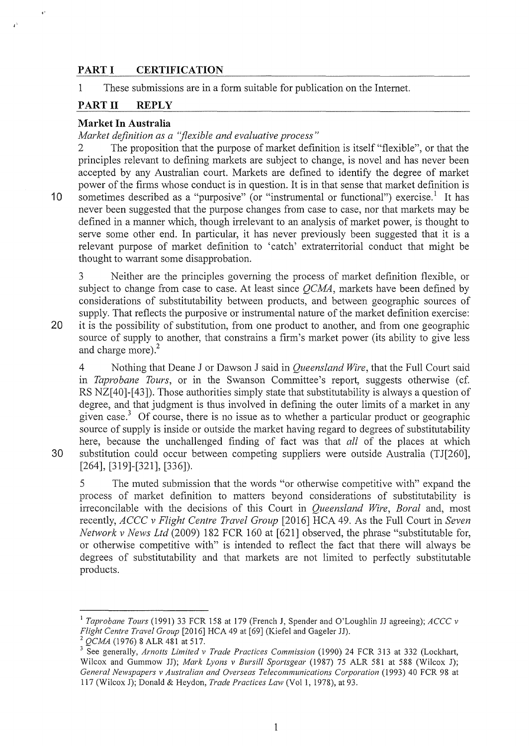## **PART I CERTIFICATION**

1 These submissions are in a form suitable for publication on the Internet.

## **PARTII REPLY**

### **Market In Australia**

*Market definition as a "flexible and evaluative process"* 

2 The proposition that the purpose of market definition is itself "flexible", or that the principles relevant to defining markets are subject to change, is novel and has never been accepted by any Australian court. Markets are defined to identify the degree of market power of the firms whose conduct is in question. It is in that sense that market definition is 10 sometimes described as a "purposive" (or "instrumental or functional") exercise.<sup>1</sup> It has never been suggested that the purpose changes from case to case, nor that markets may be defined in a manner which, though irrelevant to an analysis of market power, is thought to serve some other end. In particular, it has never previously been suggested that it is a relevant purpose of market definition to 'catch' extraterritorial conduct that might be thought to warrant some disapprobation.

3 Neither are the principles governing the process of market definition flexible, or subject to change from case to case. At least since *QCMA,* markets have been defined by considerations of substitutability between products, and between geographic sources of supply. That reflects the purposive or instrumental nature of the market definition exercise: **20** it is the possibility of substitution, from one product to another, and from one geographic source of supply to another, that constrains a firm's market power (its ability to give less and charge more).<sup>2</sup>

4 Nothing that Deane J or Dawson **J** said in *Queensland Wire,* that the Full Court said in *Taprobane Tours,* or in the Swanson Committee's report, suggests otherwise (cf. RS NZ[40]-[43]). Those authorities simply state that substitutability is always a question of degree, and that judgment is thus involved in defining the outer limits of a market in any given case.3 Of course, there is no issue as to whether a particular product or geographic source of supply is inside or outside the market having regard to degrees of substitutability here, because the unchallenged finding of fact was that *all* of the places at which 30 substitution could occur between competing suppliers were outside Australia (TJ[260], [264], [319]-[321], [336]).

5 The muted submission that the words "or otherwise competitive with" expand the process of market definition to matters beyond considerations of substitutability is irreconcilable with the decisions of this Court in *Queensland Wire, Boral* and, most recently, *ACCC v Flight Centre Travel Group* [2016] HCA 49. As the Full Court in *Seven Network v News Ltd* (2009) 182 FCR 160 at [621] observed, the phrase "substitutable for, or otherwise competitive with" is intended to reflect the fact that there will always be degrees of substitutability and that markets are not limited to perfectly substitutable products.

,.

,.

<sup>&</sup>lt;sup>1</sup> Taprobane Tours (1991) 33 FCR 158 at 179 (French J, Spender and O'Loughlin JJ agreeing); *ACCC* v *Flight Centre Travel Group* [2016] HCA 49 at [69] (Kiefel and Gageler JJ).

<sup>&</sup>lt;sup>2</sup> QCMA (1976) 8 ALR 481 at 517.<br><sup>3</sup> See generally, *Arnotts Limited v Trade Practices Commission* (1990) 24 FCR 313 at 332 (Lockhart, Wilcox and Gummow JJ); *Mark Lyons v Bursill Sportsgear* (1987) 75 ALR 581 at 588 (Wilcox J); *General Newspapers v Australian and Overseas Telecommunications Corporation* (1993) 40 FCR 98 at 117 (Wilcox J); Donald & Heydon, *Trade Practices Law* (Vol 1, 1978), at 93.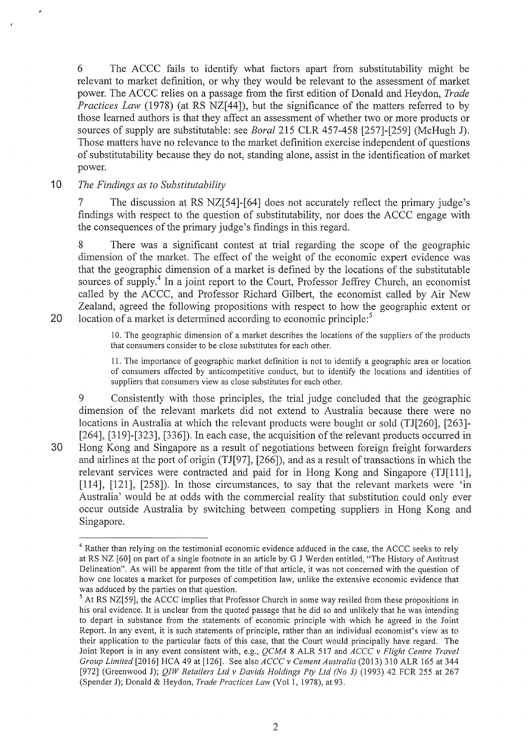6 The ACCC fails to identify what factors apart from substitutability might be relevant to market definition, or why they would be relevant to the assessment of market power. The ACCC relies on a passage from the first edition of Donald and Heydon, *Trade Practices Law* (1978) (at RS NZ[44]), but the significance of the matters referred to by those learned authors is that they affect an assessment of whether two or more products or sources of supply are substitutable: see *Boral* 215 CLR 457-458 [257]-[259] (McHugh J). Those matters have no relevance to the market definition exercise independent of questions of substitutability because they do not, standing alone, assist in the identification of market power.

## 10 The Findings as to Substitutability

7 The discussion at RS NZ[54]-[64] does not accurately reflect the primary judge's findings with respect to the question of substitutability, nor does the ACCC engage with the consequences of the primary judge's findings in this regard.

8 There was a significant contest at trial regarding the scope of the geographic dimension of the market. The effect of the weight of the economic expert evidence was that the geographic dimension of a market is defined by the locations of the substitutable sources of supply.<sup>4</sup> In a joint report to the Court, Professor Jeffrey Church, an economist called by the ACCC, and Professor Richard Gilbert, the economist called by Air New Zealand, agreed the following propositions with respect to how the geographic extent or 20 location of a market is determined according to economic principle: $5$ 

> 10. The geographic dimension of a market describes the locations of the suppliers of the products that consumers consider to be close substitutes for each other.

> 11. The importance of geographic market definition is not to identify a geographic area or location of consumers affected by anticompetitive conduct, but to identify the locations and identities of suppliers that consumers view as close substitutes for each other.

9 Consistently with those principles, the trial judge concluded that the geographic dimension of the relevant markets did not extend to Australia because there were no locations in Australia at which the relevant products were bought or sold (TJ[260], [263]- [264], [319]-[323], [336]). In each case, the acquisition of the relevant products occurred in 30 Hong Kong and Singapore as a result of negotiations between foreign freight forwarders and airlines at the port of origin (TJ[97], [266]), and as a result of transactions in which the relevant services were contracted and paid for in Hong Kong and Singapore (TJ[111], [114], [121], [258]). In those circumstances, to say that the relevant markets were 'in Australia' would be at odds with the commercial reality that substitution could only ever occur outside Australia by switching between competing suppliers in Hong Kong and Singapore.

<sup>4</sup> Rather than relying on the testimonial economic evidence adduced in the case, the ACCC seeks to rely at RS NZ [60] on part of a single footnote in an article by G J Werden entitled, "The History of Antitrust Delineation". As will be apparent from the title of that article, it was not concerned with the question of how one locates a market for purposes of competition law, unlike the extensive economic evidence that

was adduced by the parties on that question.<br><sup>5</sup> At RS NZ[59], the ACCC implies that Professor Church in some way resiled from these propositions in his oral evidence. It is unclear from the quoted passage that he did so and unlikely that he was intending to depart in substance from the statements of economic principle with which he agreed in the Joint Report. In any event, it is such statements of principle, rather than an individual economist's view as to their application to the particular facts of this case, that the Court would principally have regard. The Joint Report is in any event consistent with, e.g., *QCMA* 8 ALR 517 and *ACCC v Flight Centre Travel Group Limited* [2016] HCA 49 at [126]. See also *ACCC v Cement Australia* (2013) 310 ALR 165 at 344 [972] (Greenwood J); *QIW Retailers Ltd v Davids Holdings Pty Ltd (No 3)* (1993) 42 FCR 255 at 267 (Spender J); Donald & Heydon, *Trade Practices Law* (Vol1, 1978), at 93.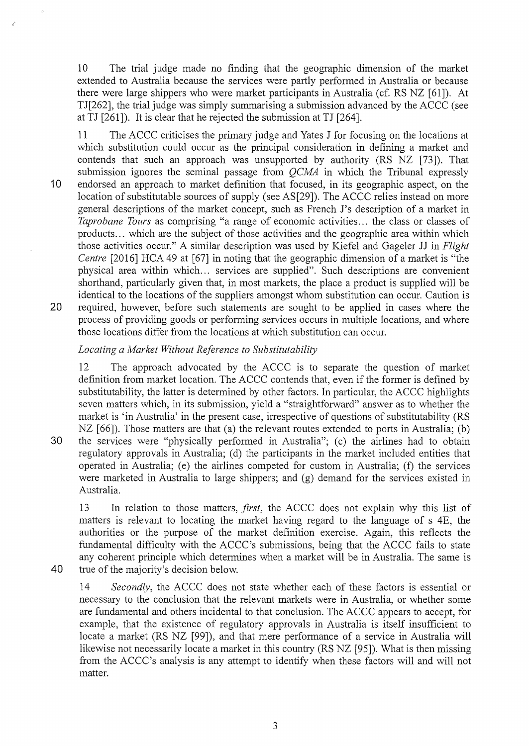10 The trial judge made no finding that the geographic dimension of the market extended to Australia because the services were partly performed in Australia or because there were large shippers who were market participants in Australia (cf. RS NZ [61]). At TJ[262], the trial judge was simply summarising a submission advanced by the ACCC (see at TJ [261]). It is clear that he rejected the submission at TJ [264].

11 The ACCC criticises the primary judge and Yates **J** for focusing on the locations at which substitution could occur as the principal consideration in defining a market and contends that such an approach was unsupported by authority (RS NZ [73]). That submission ignores the seminal passage from *QCMA* in which the Tribunal expressly 10 endorsed an approach to market definition that focused, in its geographic aspect, on the location of substitutable sources of supply (see AS[29]). The ACCC relies instead on more general descriptions of the market concept, such as French J's description of a market in *Taprobane Tours* as comprising "a range of economic activities ... the class or classes of products ... which are the subject of those activities and the geographic area within which those activities occur." A similar description was used by Kiefel and Gageler JJ in *Flight Centre* [2016] HCA 49 at [67] in noting that the geographic dimension of a market is "the physical area within which ... services are supplied". Such descriptions are convenient shorthand, particularly given that, in most markets, the place a product is supplied will be identical to the locations of the suppliers amongst whom substitution can occur. Caution is 20 required, however, before such statements are sought to be applied in cases where the process of providing goods or performing services occurs in multiple locations, and where those locations differ from the locations at which substitution can occur.

## *Locating a Market Without Reference to Substitutability*

12 The approach advocated by the ACCC is to separate the question of market definition from market location. The ACCC contends that, even if the former is defined by substitutability, the latter is determined by other factors. In particular, the ACCC highlights seven matters which, in its submission, yield a "straightforward" answer as to whether the market is 'in Australia' in the present case, irrespective of questions of substitutability (RS NZ  $[66]$ ). Those matters are that (a) the relevant routes extended to ports in Australia; (b) 30 the services were "physically performed in Australia"; (c) the airlines had to obtain

regulatory approvals in Australia; (d) the participants in the market included entities that operated in Australia; (e) the airlines competed for custom in Australia; (f) the services were marketed in Australia to large shippers; and (g) demand for the services existed in Australia.

13 In relation to those matters, *first,* the ACCC does not explain why this list of matters is relevant to locating the market having regard to the language of s 4E, the authorities or the purpose of the market definition exercise. Again, this reflects the fundamental difficulty with the ACCC's submissions, being that the ACCC fails to state any coherent principle which determines when a market will be in Australia. The same is **40** true of the majority's decision below.

 $\rightarrow$ 

14 *Secondly,* the ACCC does not state whether each of these factors is essential or necessary to the conclusion that the relevant markets were in Australia, or whether some are fundamental and others incidental to that conclusion. The ACCC appears to accept, for example, that the existence of regulatory approvals in Australia is itself insufficient to locate a market (RS NZ [99]), and that mere performance of a service in Australia will likewise not necessarily locate a market in this country (RS NZ [95]). What is then missing from the ACCC's analysis is any attempt to identify when these factors will and will not matter.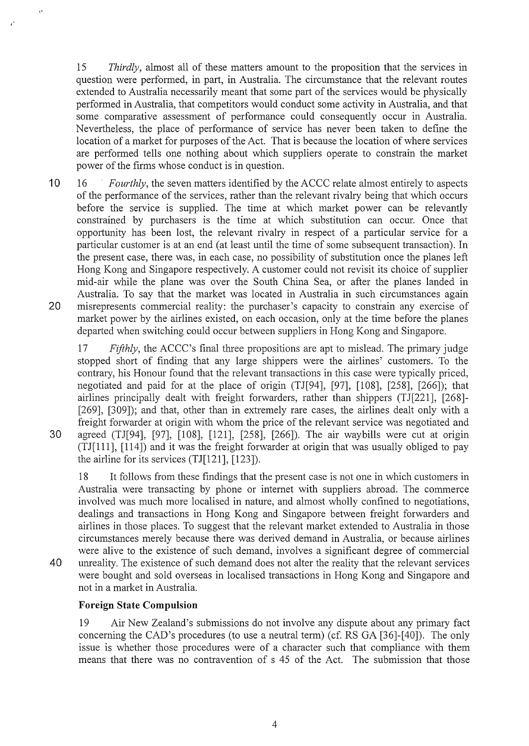15 *Thirdly,* almost all of these matters amount to the proposition that the services in question were performed, in part, in Australia. The circumstance that the relevant routes extended to Australia necessarily meant that some part of the services would be physically performed in Australia, that competitors would conduct some activity in Australia, and that some comparative assessment of performance could consequently occur in Australia. Nevertheless, the place of performance of service has never been taken to define the location of a market for purposes of the Act. That is because the location of where services are performed tells one nothing about which suppliers operate to constrain the market power of the firms whose conduct is in question.

10 16 *Fourthly,* the seven matters identified by the ACCC relate almost entirely to aspects of the performance of the services, rather than the relevant rivalry being that which occurs before the service is supplied. The time at which market power can be relevantly constrained by purchasers is the time at which substitution can occur. Once that opportunity has been lost, the relevant rivalry in respect of a particular service for a particular customer is at an end (at least until the time of some subsequent transaction). In the present case, there was, in each case, no possibility of substitution once the planes left Hong Kong and Singapore respectively. A customer could not revisit its choice of supplier mid-air while the plane was over the South China Sea, or after the planes landed in Australia. To say that the market was located in Australia in such circumstances again 20 misrepresents commercial reality: the purchaser's capacity to constrain any exercise of market power by the airlines existed, on each occasion, only at the time before the planes departed when switching could occur between suppliers in Hong Kong and Singapore.

17 *Fifthly,* the ACCC's final three propositions are apt to mislead. The primary judge stopped short of finding that any large shippers were the airlines' customers. To the contrary, his Honour found that the relevant transactions in this case were typically priced, negotiated and paid for at the place of origin (TJ[94], [97], [108], [258], [266]); that airlines principally dealt with freight forwarders, rather than shippers (TJ[221], [268]-[269], [309]); and that, other than in extremely rare cases, the airlines dealt only with a freight forwarder at origin with whom the price of the relevant service was negotiated and 30 agreed (TJ[94], [97], [108], [121], [258], [266]). The air waybills were cut at origin (TJ[111], [114]) and it was the freight forwarder at origin that was usually obliged to pay the airline for its services (TJ[121], [123]).

18 It follows from these findings that the present case is not one in which customers in Australia were transacting by phone or internet with suppliers abroad. The commerce involved was much more localised in nature, and almost wholly confined to negotiations, dealings and transactions in Hong Kong and Singapore between freight forwarders and airlines in those places. To suggest that the relevant market extended to Australia in those circumstances merely because there was derived demand in Australia, or because airlines were alive to the existence of such demand, involves a significant degree of commercial 40 unreality. The existence of such demand does not alter the reality that the relevant services were bought and sold overseas in localised transactions in Hong Kong and Singapore and not in a market in Australia.

## **Foreign State Compulsion**

19 Air New Zealand's submissions do not involve any dispute about any primary fact concerning the CAD's procedures (to use a neutral term) (cf. RS GA [36]-[40]). The only issue is whether those procedures were of a character such that compliance with them means that there was no contravention of s 45 of the Act. The submission that those

 $\ddot{\phantom{0}}$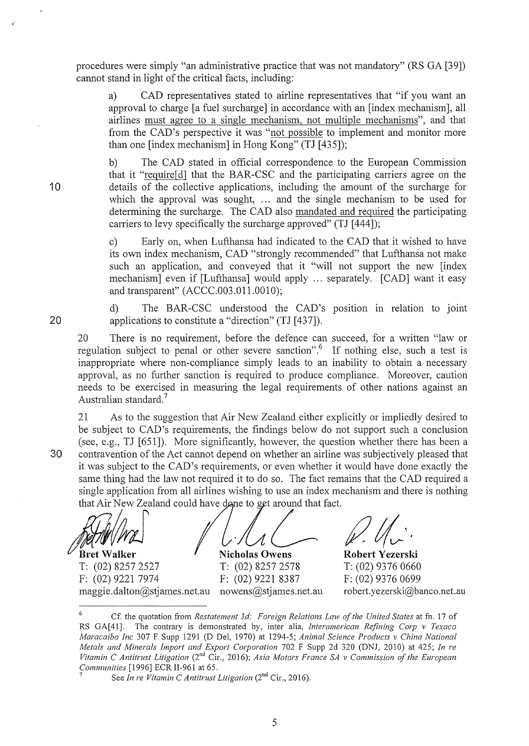procedures were simply "an administrative practice that was not mandatory" (RS GA [39]) cannot stand in light of the critical facts, including:

a) CAD representatives stated to airline representatives that "if you want an approval to charge [a fuel surcharge] in accordance with an [index mechanism], all airlines must agree to a single mechanism, not multiple mechanisms", and that from the CAD's perspective it was "not possible to implement and monitor more than one [index mechanism] in Hong Kong" (TJ [435]);

b) The CAD stated in official correspondence to the European Commission that it "require[d] that the BAR-CSC and the participating carriers agree on the details of the collective applications, including the amount of the surcharge for which the approval was sought, ... and the single mechanism to be used for determining the surcharge. The CAD also mandated and required the participating carriers to levy specifically the surcharge approved" (TJ [444]);

c) Early on, when Lufthansa had indicated to the CAD that it wished to have its own index mechanism, CAD "strongly recommended" that Lufthansa not make such an application, and conveyed that it "will not support the new [index mechanism] even if [Lufthansa] would apply ... separately. [CAD] want it easy and transparent" (ACCC.003.011.0010);

d) The BAR-CSC understood the CAD's position in relation to joint applications to constitute a "direction" (TJ [437]).

20 There is no requirement, before the defence can succeed, for a written "law or regulation subject to penal or other severe sanction". If nothing else, such a test is inappropriate where non-compliance simply leads to an inability to obtain a necessary approval, as no futiher sanction is required to produce compliance. Moreover, caution needs to be exercised in measuring the legal requirements of other nations against an Australian standard.<sup>7</sup>

21 As to the suggestion that Air New Zealand either explicitly or impliedly desired to be subject to CAD's requirements, the findings below do not support such a conclusion (see, e.g., TJ [651]). More significantly, however, the question whether there has been a 30 contravention of the Act cannot depend on whether an airline was subjectively pleased that it was subject to the CAD's requirements, or even whether it would have done exactly the same thing had the law not required it to do so. The fact remains that the CAD required a single application from all airlines wishing to use an index mechanism and there is nothing that Air New Zealand could have done to get around that fact.

 $\frac{1}{\sqrt{2}}$ <br>Bret Walker Nicholas Owens Robert Yezerski

T: (02) 8257 2527 T: (02) 8257 2578 T: (02) 9376 0660 F: (02) 9221 7974 F: (02) 9221 8387 F: (02) 9376 0699

maggie.dalton@stjames.net.au nowens@stjames.net.au robert.yezerski@banco.net.au

10

<sup>6</sup> Cf. the quotation from *Restatement 3d: Foreign Relations Law of the United States* at fn. 17 of RS GA[41]. The contrary is demonstrated by, inter alia, *lnteramerican Refining Carp v Texaco Maracaibo !ne* 307 F Supp 1291 (D Del, 1970) at 1294-5; *Animal Science Products v China National Metals and Minerals Import and Export Corporation* 702 F Supp 2d 320 (DNJ, 2010) at 425; *In re Vitamin* C *Antitrust Litigation* (2nd Cir., 2016); *Asia Motors France SA v Commission of the European Communities* [1996] ECR II-961 at 65.<br><sup>7</sup> See *In re Vitamin C Antitrust Litigation* (2<sup>nd</sup> Cir., 2016).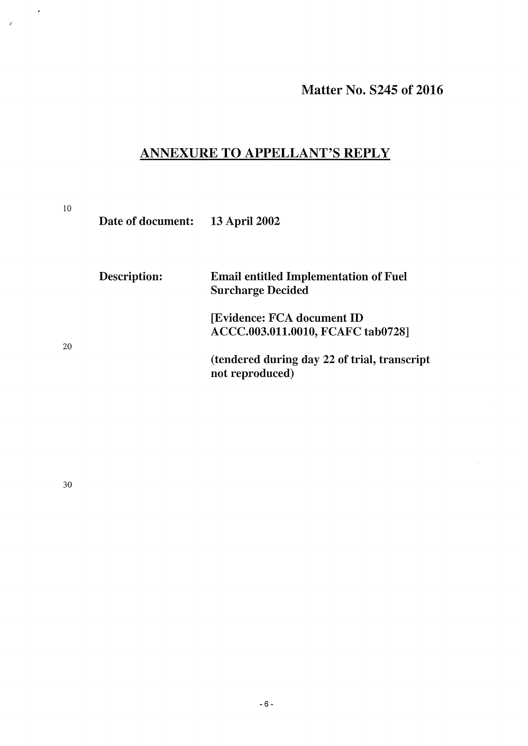# ANNEXURE TO APPELLANT'S REPLY

10

 $\tilde{\mathbf{r}}$ 

 $\mathcal{L}$ 

Date of document: 13 April 2002

| Description: | <b>Email entitled Implementation of Fuel</b><br><b>Surcharge Decided</b> |
|--------------|--------------------------------------------------------------------------|
|              | <b>[Evidence: FCA document ID</b><br>ACCC.003.011.0010, FCAFC tab0728]   |
|              | (tendered during day 22 of trial, transcript<br>not reproduced)          |

30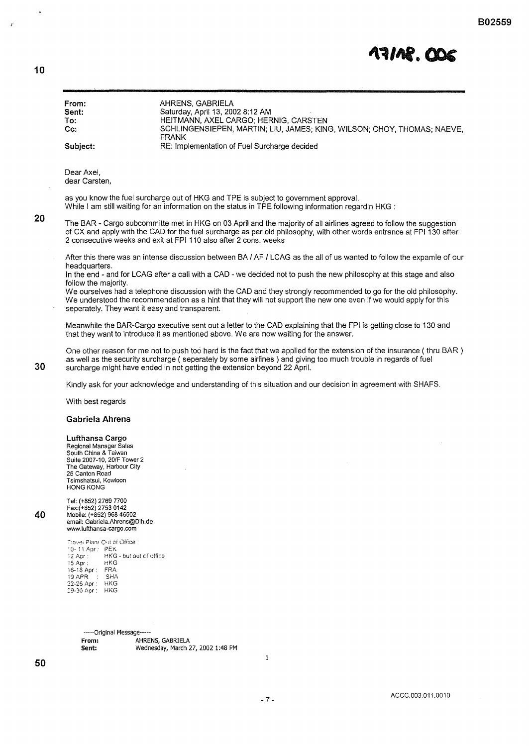

| Sent:<br>To:<br>Cc:<br>Subject:                                                                                                                                                             | Saturday, April 13, 2002 8:12 AM<br>HEITMANN, AXEL CARGO; HERNIG, CARSTEN<br>SCHLINGENSIEPEN, MARTIN; LIU, JAMES; KING, WILSON; CHOY, THOMAS; NAEVE,                                                                                                                                                                                                  |
|---------------------------------------------------------------------------------------------------------------------------------------------------------------------------------------------|-------------------------------------------------------------------------------------------------------------------------------------------------------------------------------------------------------------------------------------------------------------------------------------------------------------------------------------------------------|
|                                                                                                                                                                                             |                                                                                                                                                                                                                                                                                                                                                       |
|                                                                                                                                                                                             |                                                                                                                                                                                                                                                                                                                                                       |
|                                                                                                                                                                                             | <b>FRANK</b>                                                                                                                                                                                                                                                                                                                                          |
|                                                                                                                                                                                             | RE: Implementation of Fuel Surcharge decided                                                                                                                                                                                                                                                                                                          |
| Dear Axel,<br>dear Carsten,                                                                                                                                                                 |                                                                                                                                                                                                                                                                                                                                                       |
|                                                                                                                                                                                             | as you know the fuel surcharge out of HKG and TPE is subject to government approval.                                                                                                                                                                                                                                                                  |
|                                                                                                                                                                                             | While I am still waiting for an information on the status in TPE following information regardin HKG :<br>The BAR - Cargo subcommitte met in HKG on 03 April and the majority of all airlines agreed to follow the suggestion<br>of CX and apply with the CAD for the fuel surcharge as per old philosophy, with other words entrance at FPI 130 after |
|                                                                                                                                                                                             | 2 consecutive weeks and exit at FPI 110 also after 2 cons, weeks                                                                                                                                                                                                                                                                                      |
| headquarters.                                                                                                                                                                               | After this there was an intense discussion between BA / AF / LCAG as the all of us wanted to follow the expamle of our<br>In the end - and for LCAG after a call with a CAD - we decided not to push the new philosophy at this stage and also                                                                                                        |
| follow the majority.                                                                                                                                                                        |                                                                                                                                                                                                                                                                                                                                                       |
|                                                                                                                                                                                             | We ourselves had a telephone discussion with the CAD and they strongly recommended to go for the old philosophy.<br>We understood the recommendation as a hint that they will not support the new one even if we would apply for this<br>seperately. They want it easy and transparent.                                                               |
|                                                                                                                                                                                             | Meanwhile the BAR-Cargo executive sent out a letter to the CAD explaining that the FPI is getting close to 130 and<br>that they want to introduce it as mentioned above. We are now waiting for the answer.                                                                                                                                           |
|                                                                                                                                                                                             | One other reason for me not to push too hard is the fact that we applied for the extension of the insurance (thru BAR)<br>as well as the security surcharge (seperately by some airlines) and giving too much trouble in regards of fuel<br>surcharge might have ended in not getting the extension beyond 22 April.                                  |
|                                                                                                                                                                                             | Kindly ask for your acknowledge and understanding of this situation and our decision in agreement with SHAFS.                                                                                                                                                                                                                                         |
| With best regards                                                                                                                                                                           |                                                                                                                                                                                                                                                                                                                                                       |
| <b>Gabriela Ahrens</b>                                                                                                                                                                      |                                                                                                                                                                                                                                                                                                                                                       |
| Lufthansa Cargo<br>Regional Manager Sales<br>South China & Taiwan<br>Suite 2007-10, 20/F Tower 2<br>The Gateway, Harbour City<br>25 Canton Road<br>Tsimshatsui, Kowloon<br><b>HONG KONG</b> |                                                                                                                                                                                                                                                                                                                                                       |
|                                                                                                                                                                                             |                                                                                                                                                                                                                                                                                                                                                       |
| Tel: (+852) 2769 7700<br>Fax:(+852) 2753 0142<br>Mobile: (+852) 968 46502<br>email: Gabriela.Ahrens@Dlh.de<br>www.lufthansa-cargo.com                                                       |                                                                                                                                                                                                                                                                                                                                                       |
| Travel Plan/ Out of Office 1<br>10-11 Apr : PEK<br>12 Apr :<br>$15$ Apr:<br>HKG<br>16-18 Apr: FRA<br>19 APR : SHA<br>22-26 Apr : HKG<br>29-30 Apr: HKG                                      | HKG - but out of office                                                                                                                                                                                                                                                                                                                               |
|                                                                                                                                                                                             |                                                                                                                                                                                                                                                                                                                                                       |
|                                                                                                                                                                                             | -----Original Message-----                                                                                                                                                                                                                                                                                                                            |
|                                                                                                                                                                                             |                                                                                                                                                                                                                                                                                                                                                       |
| From:<br>Sent:                                                                                                                                                                              | AHRENS, GABRIELA<br>Wednesday, March 27, 2002 1:48 PM                                                                                                                                                                                                                                                                                                 |

**10** 

 $\ddot{\phantom{a}}$ 

 $\mathcal{L}$ 

**20** 

**30**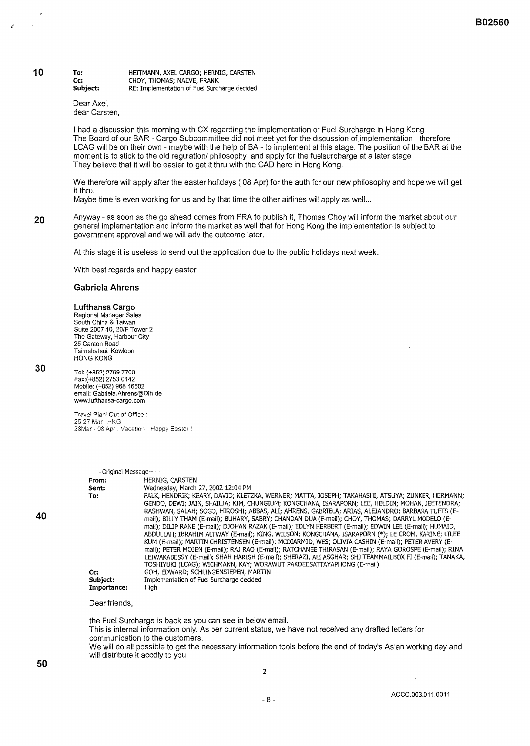#### **To: Cc: Subject:**  HEITMANN, AXEL CARGO; HERNIG, CARSTEN CHOY, THOMAS; NAEVE, FRANK RE: Implementation of Fuel Surcharge decided

Dear Axe!, dear Carsten,

I had a discussion this morning with CX regarding the implementation or Fuel Surcharge in Hong Kong The Board of our BAR- Cargo Subcommittee did not meet yet for the discussion of implementation- therefore LCAG will be on their own - maybe with the help of BA- to implement at this stage. The position of the BAR at the moment is to stick to the old regulation/ philosophy and apply for the fuel surcharge at a later stage They believe that it will be easier to get it thru with the CAD here in Hong Kong.

We therefore will apply after the easter holidays ( 08 Apr) for the auth for our new philosophy and hope we will get it thru.

Maybe time is even working for us and by that time the other airlines will apply as well...

**20**  Anyway- as soon as the go ahead comes from FRA to publish it, Thomas Choy will inform the market about our general implementation and inform the market as well that for Hong Kong the implementation is subject to government approval and we will adv the outcome later.

At this stage it is useless to send out the application due to the public holidays next week.

With best regards and happy easter

### **Gabriela Ahrens**

### **Lufthansa Cargo**

Regional Manager Sales South China & Taiwan Suite 2007-10, 20/F Tower 2 The Gateway, Harbour City 25 Canton Road Tsimshatsui, Kowloon HONG KONG

**30** 

**10** 

Tel: (+852) 2769 7700 Fax:(+852) 2753 0142 Mobile: (+852) 968 46502 email: Gabriela.Ahrens@Dih.de www.lufthansa-cargo.com

Travel Plani Oui of Office · 25-27 Mar HKG 28Mar- 08 Apr · Vacation - Happy E3ster '

| -----Original Message----- |                                                                                                         |
|----------------------------|---------------------------------------------------------------------------------------------------------|
| From:                      | HERNIG, CARSTEN                                                                                         |
| Sent:                      | Wednesday, March 27, 2002 12:04 PM                                                                      |
| To:                        | FALK, HENDRIK; KEARY, DAVID; KLETZKA, WERNER; MATTA, JOSEPH; TAKAHASHI, ATSUYA; ZUNKER, HERMANN;        |
|                            | GENDO, DEWI; JAIN, SHAILJA; KIM, CHUNGIUM; KONGCHANA, ISARAPORN; LEE, HELDIN; MOHAN, JEETENDRA;         |
|                            | RASHWAN, SALAH; SOGO, HIROSHI; ABBAS, ALI; AHRENS, GABRIELA; ARIAS, ALEJANDRO; BARBARA TUFTS (E-        |
|                            | mail); BILLY THAM (E-mail); BUHARY, SABRY; CHANDAN DUA (E-mail); CHOY, THOMAS; DARRYL MODELO (E-        |
|                            | mail): DILIP RANE (E-mail): DJOHAN RAZAK (E-mail): EDLYN HERBERT (E-mail): EDWIN LEE (E-mail): HUMAID,  |
|                            | ABDULLAH; IBRAHIM ALTWAY (E-mail); KING, WILSON; KONGCHANA, ISARAPORN (*): LE CROM, KARINE; LILEE       |
|                            | KUM (E-mail); MARTIN CHRISTENSEN (E-mail); MCDIARMID, WES; OLIVIA CASHIN (E-mail); PETER AVERY (E-      |
|                            | mail); PETER MOJEN (E-mail); RAJ RAO (E-mail); RATCHANEE THIRASAN (E-mail); RAYA GOROSPE (E-mail); RINA |
|                            | LEIWAKABESSY (E-mail); SHAH HARISH (E-mail); SHERAZI, ALI ASGHAR; SHJ TEAMMAILBOX FI (E-mail); TANAKA,  |
|                            | TOSHIYUKI (LCAG): WICHMANN, KAY; WORAWUT PAKDEESATTAYAPHONG (E-mail)                                    |
| Cc:                        | GOH, EDWARD: SCHLINGENSIEPEN, MARTIN                                                                    |
| Subject:                   | Implementation of Fuel Surcharge decided                                                                |
| Importance:                | High                                                                                                    |

### Dear friends,

the Fuel Surcharge is back as you can see in below email. This is internal information only. As per current status, we have not received any drafted letters for communication to the customers. We will do all possible to get the necessary information tools before the end of today's Asian working day and will distribute it accdly to you.

**40**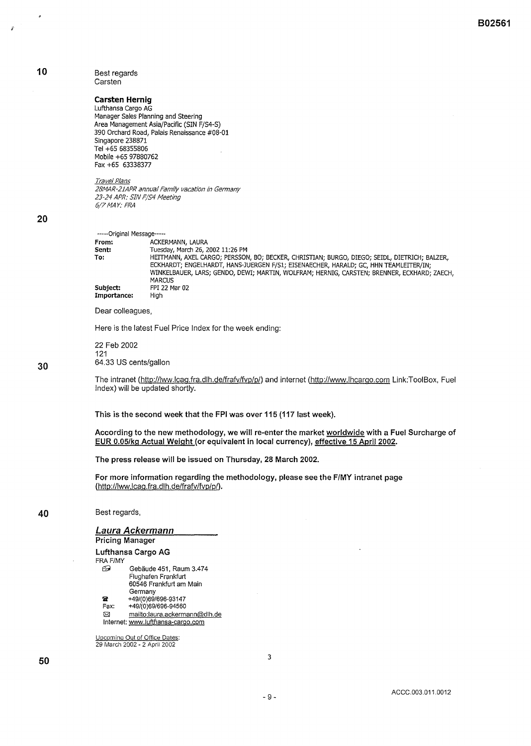### Best regards **Carsten**

### **Carsten Hernig**

Lufthansa Cargo AG Manager Sales Planning and Steering Area Management Asia/Pacific (SIN F/S4-S) 390 Orchard Road, Palais Renaissance #08-01 Singapore 238871 Tel +65 68355806 Mobile +65 97880762 Fax +65 63338377

Travel Plans

28MAR-21APR annual Family vacation in Germany 23-24 APR: SIN F/54 Meeting 6(7MAY: FRA

### **20**

**30** 

**10** 

J.

ź

-----Original Message-----<br>From: ACKE

**MARCUS Subject:** FPI 22 Mar 02 Importance:

**From: ACKERMANN, LAURA**<br> **Sent: Tuesday, March 26, 2 Sent:** Tuesday, March 26, 2002 11:26 PM<br>To: HEITMANN, AXEL CARGO; PERSSON **To:** HEITMANN, AXEL CARGO; PERSSON, BO; BECKER, CHRISTIAN; BURGO, DIEGO; SEIDL, DIETRICH; BAlZER, ECKHARDT; ENGELHARDT, HANS-JUERGEN F/51; EISENAECHER, HARALD; GC, HHN TEAMLEITER/IN; WINKELBAUER, LARS; GENDO, DEW!; MARTIN, WOLFRAM; HERNIG, CARSTEN; BRENNER, ECKHARD; ZAECH,

Dear colleagues,

Here is the latest Fuel Price Index for the week ending:

22 Feb 2002 121 64.33 US cents/gallon

The intranet (http://lww.lcag.fra.dlh.de/frafv/fvp/p/) and internet (http://www.lhcargo.com Link:TooiBox, Fuel Index) will be updated shortly.

This is the second week that the FPI was over 115 (117 last week).

**According to the new methodology, we will re-enter the market worldwide with a Fuel Surcharge of EUR 0.05/kg Actual Weight (or equivalent in local currency), effective 15 April 2002.** 

**The press release will be issued on Thursday, 28 March 2002.** 

**For more information regarding the methodology, please see the F/MY intranet page**  (http://lww.lcaq.fra.dlh.de/frafv/fvp/p/).

### Best regards,

**Laura Ackermann Pricing Manager Lufthansa Cargo AG**  FRA F/MY *E9* Gebaude 451, Raum 3.474

Flughafen Frankfurt 60546 Frankfurt am Main **Germany 2** +49/(0)69/696-93147<br>**Fax:** +49/(0)69/696-94560 Fax: +49/{0)69/696-94560

i8l mailto:laura.ackermann@dlh.de

Internet: www.lufthansa-cargo.com

Upcornina Out of Office Dates: 29 March 2002- 2 April 2002